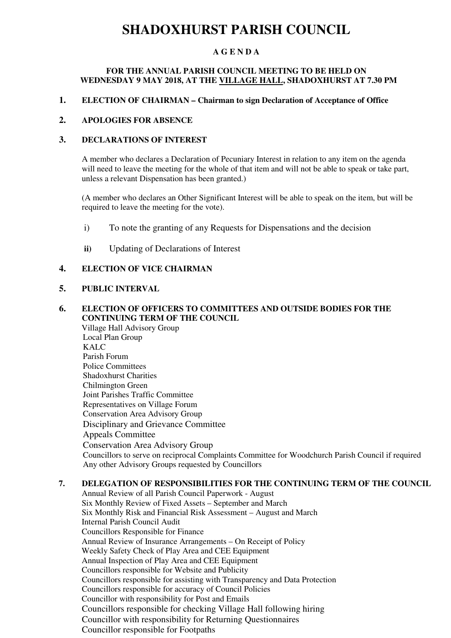## **SHADOXHURST PARISH COUNCIL**

## **A G E N D A**

#### **FOR THE ANNUAL PARISH COUNCIL MEETING TO BE HELD ON WEDNESDAY 9 MAY 2018, AT THE VILLAGE HALL, SHADOXHURST AT 7.30 PM**

#### **1. ELECTION OF CHAIRMAN – Chairman to sign Declaration of Acceptance of Office**

### **2. APOLOGIES FOR ABSENCE**

## **3. DECLARATIONS OF INTEREST**

A member who declares a Declaration of Pecuniary Interest in relation to any item on the agenda will need to leave the meeting for the whole of that item and will not be able to speak or take part, unless a relevant Dispensation has been granted.)

(A member who declares an Other Significant Interest will be able to speak on the item, but will be required to leave the meeting for the vote).

- i) To note the granting of any Requests for Dispensations and the decision
- **ii)** Updating of Declarations of Interest

### **4. ELECTION OF VICE CHAIRMAN**

## **5. PUBLIC INTERVAL**

## **6. ELECTION OF OFFICERS TO COMMITTEES AND OUTSIDE BODIES FOR THE CONTINUING TERM OF THE COUNCIL**

Village Hall Advisory Group Local Plan Group KALC Parish Forum Police Committees Shadoxhurst Charities Chilmington Green Joint Parishes Traffic Committee Representatives on Village Forum Conservation Area Advisory Group Disciplinary and Grievance Committee Appeals Committee Conservation Area Advisory Group Councillors to serve on reciprocal Complaints Committee for Woodchurch Parish Council if required Any other Advisory Groups requested by Councillors

## **7. DELEGATION OF RESPONSIBILITIES FOR THE CONTINUING TERM OF THE COUNCIL**

Annual Review of all Parish Council Paperwork - August Six Monthly Review of Fixed Assets – September and March Six Monthly Risk and Financial Risk Assessment – August and March Internal Parish Council Audit Councillors Responsible for Finance Annual Review of Insurance Arrangements – On Receipt of Policy Weekly Safety Check of Play Area and CEE Equipment Annual Inspection of Play Area and CEE Equipment Councillors responsible for Website and Publicity Councillors responsible for assisting with Transparency and Data Protection Councillors responsible for accuracy of Council Policies Councillor with responsibility for Post and Emails Councillors responsible for checking Village Hall following hiring Councillor with responsibility for Returning Questionnaires Councillor responsible for Footpaths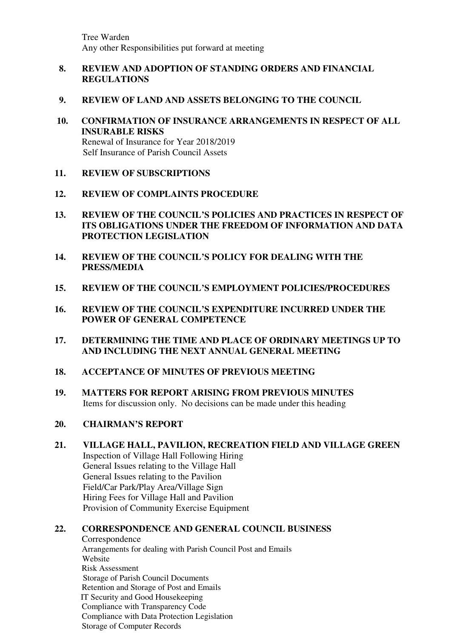Tree Warden Any other Responsibilities put forward at meeting

## **8. REVIEW AND ADOPTION OF STANDING ORDERS AND FINANCIAL REGULATIONS**

- **9. REVIEW OF LAND AND ASSETS BELONGING TO THE COUNCIL**
- **10. CONFIRMATION OF INSURANCE ARRANGEMENTS IN RESPECT OF ALL INSURABLE RISKS**  Renewal of Insurance for Year 2018/2019 Self Insurance of Parish Council Assets
- **11. REVIEW OF SUBSCRIPTIONS**
- **12. REVIEW OF COMPLAINTS PROCEDURE**
- **13. REVIEW OF THE COUNCIL'S POLICIES AND PRACTICES IN RESPECT OF ITS OBLIGATIONS UNDER THE FREEDOM OF INFORMATION AND DATA PROTECTION LEGISLATION**
- **14. REVIEW OF THE COUNCIL'S POLICY FOR DEALING WITH THE PRESS/MEDIA**
- **15. REVIEW OF THE COUNCIL'S EMPLOYMENT POLICIES/PROCEDURES**
- **16. REVIEW OF THE COUNCIL'S EXPENDITURE INCURRED UNDER THE POWER OF GENERAL COMPETENCE**
- **17. DETERMINING THE TIME AND PLACE OF ORDINARY MEETINGS UP TO AND INCLUDING THE NEXT ANNUAL GENERAL MEETING**
- **18. ACCEPTANCE OF MINUTES OF PREVIOUS MEETING**
- **19. MATTERS FOR REPORT ARISING FROM PREVIOUS MINUTES**  Items for discussion only. No decisions can be made under this heading
- **20. CHAIRMAN'S REPORT**
- **21. VILLAGE HALL, PAVILION, RECREATION FIELD AND VILLAGE GREEN**  Inspection of Village Hall Following Hiring General Issues relating to the Village Hall General Issues relating to the Pavilion Field/Car Park/Play Area/Village Sign Hiring Fees for Village Hall and Pavilion Provision of Community Exercise Equipment

## **22. CORRESPONDENCE AND GENERAL COUNCIL BUSINESS**

Correspondence Arrangements for dealing with Parish Council Post and Emails Website Risk Assessment Storage of Parish Council Documents Retention and Storage of Post and Emails IT Security and Good Housekeeping Compliance with Transparency Code Compliance with Data Protection Legislation Storage of Computer Records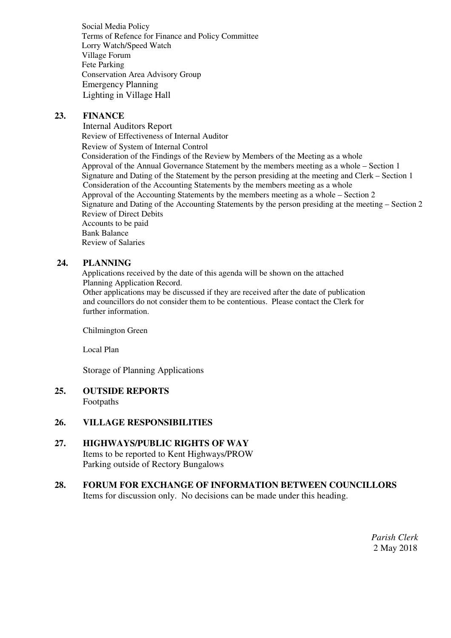Social Media Policy Terms of Refence for Finance and Policy Committee Lorry Watch/Speed Watch Village Forum Fete Parking Conservation Area Advisory Group Emergency Planning Lighting in Village Hall

## **23. FINANCE**

Internal Auditors Report Review of Effectiveness of Internal Auditor Review of System of Internal Control Consideration of the Findings of the Review by Members of the Meeting as a whole Approval of the Annual Governance Statement by the members meeting as a whole – Section 1 Signature and Dating of the Statement by the person presiding at the meeting and Clerk – Section 1 Consideration of the Accounting Statements by the members meeting as a whole Approval of the Accounting Statements by the members meeting as a whole – Section 2 Signature and Dating of the Accounting Statements by the person presiding at the meeting – Section 2 Review of Direct Debits Accounts to be paid Bank Balance Review of Salaries

## **24. PLANNING**

Applications received by the date of this agenda will be shown on the attached Planning Application Record.

 Other applications may be discussed if they are received after the date of publication and councillors do not consider them to be contentious. Please contact the Clerk for further information.

Chilmington Green

Local Plan

Storage of Planning Applications

### **25. OUTSIDE REPORTS** Footpaths

## **26. VILLAGE RESPONSIBILITIES**

**27. HIGHWAYS/PUBLIC RIGHTS OF WAY**  Items to be reported to Kent Highways/PROW Parking outside of Rectory Bungalows

## **28. FORUM FOR EXCHANGE OF INFORMATION BETWEEN COUNCILLORS**  Items for discussion only. No decisions can be made under this heading.

*Parish Clerk*  2 May 2018